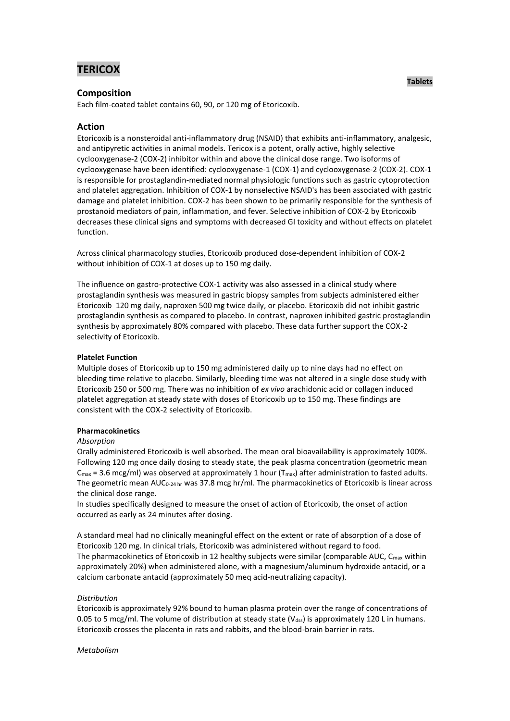# **TERICOX**

# **Composition**

Each film-coated tablet contains 60, 90, or 120 mg of Etoricoxib.

# **Action**

Etoricoxib is a nonsteroidal anti-inflammatory drug (NSAID) that exhibits anti-inflammatory, analgesic, and antipyretic activities in animal models. Tericox is a potent, orally active, highly selective cyclooxygenase-2 (COX-2) inhibitor within and above the clinical dose range. Two isoforms of cyclooxygenase have been identified: cyclooxygenase-1 (COX-1) and cyclooxygenase-2 (COX-2). COX-1 is responsible for prostaglandin-mediated normal physiologic functions such as gastric cytoprotection and platelet aggregation. Inhibition of COX-1 by nonselective NSAID's has been associated with gastric damage and platelet inhibition. COX-2 has been shown to be primarily responsible for the synthesis of prostanoid mediators of pain, inflammation, and fever. Selective inhibition of COX-2 by Etoricoxib decreases these clinical signs and symptoms with decreased GI toxicity and without effects on platelet function.

Across clinical pharmacology studies, Etoricoxib produced dose-dependent inhibition of COX-2 without inhibition of COX-1 at doses up to 150 mg daily.

The influence on gastro-protective COX-1 activity was also assessed in a clinical study where prostaglandin synthesis was measured in gastric biopsy samples from subjects administered either Etoricoxib 120 mg daily, naproxen 500 mg twice daily, or placebo. Etoricoxib did not inhibit gastric prostaglandin synthesis as compared to placebo. In contrast, naproxen inhibited gastric prostaglandin synthesis by approximately 80% compared with placebo. These data further support the COX-2 selectivity of Etoricoxib.

# **Platelet Function**

Multiple doses of Etoricoxib up to 150 mg administered daily up to nine days had no effect on bleeding time relative to placebo. Similarly, bleeding time was not altered in a single dose study with Etoricoxib 250 or 500 mg. There was no inhibition of *ex vivo* arachidonic acid or collagen induced platelet aggregation at steady state with doses of Etoricoxib up to 150 mg. These findings are consistent with the COX-2 selectivity of Etoricoxib.

# **Pharmacokinetics**

### *Absorption*

Orally administered Etoricoxib is well absorbed. The mean oral bioavailability is approximately 100%. Following 120 mg once daily dosing to steady state, the peak plasma concentration (geometric mean  $C_{\text{max}}$  = 3.6 mcg/ml) was observed at approximately 1 hour (T<sub>max</sub>) after administration to fasted adults. The geometric mean AUC<sub>0-24 hr</sub> was 37.8 mcg hr/ml. The pharmacokinetics of Etoricoxib is linear across the clinical dose range.

In studies specifically designed to measure the onset of action of Etoricoxib, the onset of action occurred as early as 24 minutes after dosing.

A standard meal had no clinically meaningful effect on the extent or rate of absorption of a dose of Etoricoxib 120 mg. In clinical trials, Etoricoxib was administered without regard to food. The pharmacokinetics of Etoricoxib in 12 healthy subjects were similar (comparable AUC,  $C_{\text{max}}$  within approximately 20%) when administered alone, with a magnesium/aluminum hydroxide antacid, or a calcium carbonate antacid (approximately 50 meq acid-neutralizing capacity).

# *Distribution*

Etoricoxib is approximately 92% bound to human plasma protein over the range of concentrations of 0.05 to 5 mcg/ml. The volume of distribution at steady state ( $V_{dss}$ ) is approximately 120 L in humans. Etoricoxib crosses the placenta in rats and rabbits, and the blood-brain barrier in rats.

### *Metabolism*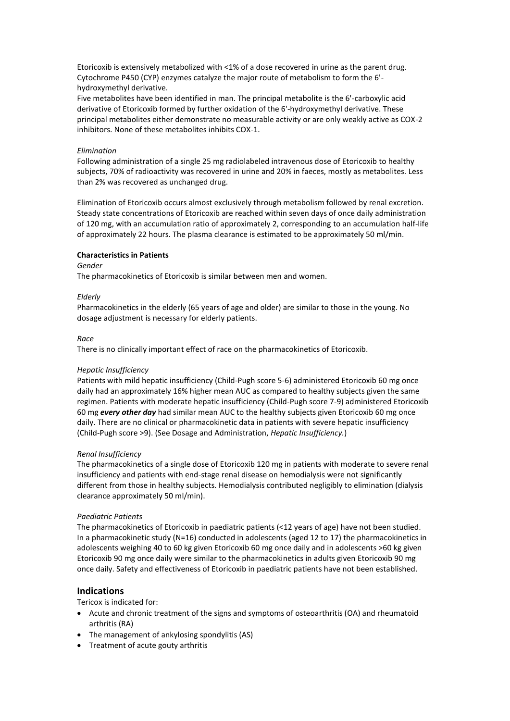Etoricoxib is extensively metabolized with <1% of a dose recovered in urine as the parent drug. Cytochrome P450 (CYP) enzymes catalyze the major route of metabolism to form the 6' hydroxymethyl derivative.

Five metabolites have been identified in man. The principal metabolite is the 6'-carboxylic acid derivative of Etoricoxib formed by further oxidation of the 6'-hydroxymethyl derivative. These principal metabolites either demonstrate no measurable activity or are only weakly active as COX-2 inhibitors. None of these metabolites inhibits COX-1.

# *Elimination*

Following administration of a single 25 mg radiolabeled intravenous dose of Etoricoxib to healthy subjects, 70% of radioactivity was recovered in urine and 20% in faeces, mostly as metabolites. Less than 2% was recovered as unchanged drug.

Elimination of Etoricoxib occurs almost exclusively through metabolism followed by renal excretion. Steady state concentrations of Etoricoxib are reached within seven days of once daily administration of 120 mg, with an accumulation ratio of approximately 2, corresponding to an accumulation half-life of approximately 22 hours. The plasma clearance is estimated to be approximately 50 ml/min.

# **Characteristics in Patients**

*Gender*

The pharmacokinetics of Etoricoxib is similar between men and women.

### *Elderly*

Pharmacokinetics in the elderly (65 years of age and older) are similar to those in the young. No dosage adjustment is necessary for elderly patients.

#### *Race*

There is no clinically important effect of race on the pharmacokinetics of Etoricoxib.

### *Hepatic Insufficiency*

Patients with mild hepatic insufficiency (Child-Pugh score 5-6) administered Etoricoxib 60 mg once daily had an approximately 16% higher mean AUC as compared to healthy subjects given the same regimen. Patients with moderate hepatic insufficiency (Child-Pugh score 7-9) administered Etoricoxib 60 mg *every other day* had similar mean AUC to the healthy subjects given Etoricoxib 60 mg once daily. There are no clinical or pharmacokinetic data in patients with severe hepatic insufficiency (Child-Pugh score >9). (See Dosage and Administration, *Hepatic Insufficiency.*)

#### *Renal Insufficiency*

The pharmacokinetics of a single dose of Etoricoxib 120 mg in patients with moderate to severe renal insufficiency and patients with end-stage renal disease on hemodialysis were not significantly different from those in healthy subjects. Hemodialysis contributed negligibly to elimination (dialysis clearance approximately 50 ml/min).

### *Paediatric Patients*

The pharmacokinetics of Etoricoxib in paediatric patients (<12 years of age) have not been studied. In a pharmacokinetic study (N=16) conducted in adolescents (aged 12 to 17) the pharmacokinetics in adolescents weighing 40 to 60 kg given Etoricoxib 60 mg once daily and in adolescents >60 kg given Etoricoxib 90 mg once daily were similar to the pharmacokinetics in adults given Etoricoxib 90 mg once daily. Safety and effectiveness of Etoricoxib in paediatric patients have not been established.

### **Indications**

Tericox is indicated for:

- Acute and chronic treatment of the signs and symptoms of osteoarthritis (OA) and rheumatoid arthritis (RA)
- The management of ankylosing spondylitis (AS)
- Treatment of acute gouty arthritis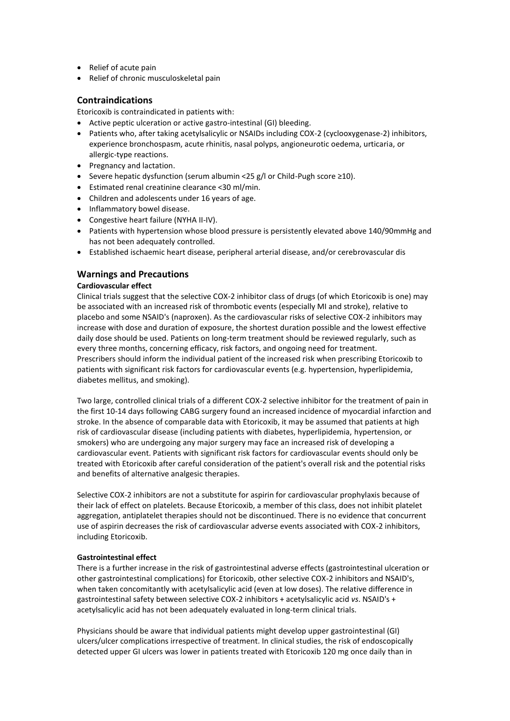- Relief of acute pain
- Relief of chronic musculoskeletal pain

# **Contraindications**

Etoricoxib is contraindicated in patients with:

- Active peptic ulceration or active gastro-intestinal (GI) bleeding.
- Patients who, after taking acetylsalicylic or NSAIDs including COX-2 (cyclooxygenase-2) inhibitors, experience bronchospasm, acute rhinitis, nasal polyps, angioneurotic oedema, urticaria, or allergic-type reactions.
- Pregnancy and lactation.
- Severe hepatic dysfunction (serum albumin <25 g/l or Child-Pugh score ≥10).
- Estimated renal creatinine clearance <30 ml/min.
- Children and adolescents under 16 years of age.
- Inflammatory bowel disease.
- Congestive heart failure (NYHA II-IV).
- Patients with hypertension whose blood pressure is persistently elevated above 140/90mmHg and has not been adequately controlled.
- Established ischaemic heart disease, peripheral arterial disease, and/or cerebrovascular dis

# **Warnings and Precautions**

# **Cardiovascular effect**

Clinical trials suggest that the selective COX-2 inhibitor class of drugs (of which Etoricoxib is one) may be associated with an increased risk of thrombotic events (especially MI and stroke), relative to placebo and some NSAID's (naproxen). As the cardiovascular risks of selective COX-2 inhibitors may increase with dose and duration of exposure, the shortest duration possible and the lowest effective daily dose should be used. Patients on long-term treatment should be reviewed regularly, such as every three months, concerning efficacy, risk factors, and ongoing need for treatment. Prescribers should inform the individual patient of the increased risk when prescribing Etoricoxib to patients with significant risk factors for cardiovascular events (e.g. hypertension, hyperlipidemia, diabetes mellitus, and smoking).

Two large, controlled clinical trials of a different COX-2 selective inhibitor for the treatment of pain in the first 10-14 days following CABG surgery found an increased incidence of myocardial infarction and stroke. In the absence of comparable data with Etoricoxib, it may be assumed that patients at high risk of cardiovascular disease (including patients with diabetes, hyperlipidemia, hypertension, or smokers) who are undergoing any major surgery may face an increased risk of developing a cardiovascular event. Patients with significant risk factors for cardiovascular events should only be treated with Etoricoxib after careful consideration of the patient's overall risk and the potential risks and benefits of alternative analgesic therapies.

Selective COX-2 inhibitors are not a substitute for aspirin for cardiovascular prophylaxis because of their lack of effect on platelets. Because Etoricoxib, a member of this class, does not inhibit platelet aggregation, antiplatelet therapies should not be discontinued. There is no evidence that concurrent use of aspirin decreases the risk of cardiovascular adverse events associated with COX-2 inhibitors, including Etoricoxib.

# **Gastrointestinal effect**

There is a further increase in the risk of gastrointestinal adverse effects (gastrointestinal ulceration or other gastrointestinal complications) for Etoricoxib, other selective COX-2 inhibitors and NSAID's, when taken concomitantly with acetylsalicylic acid (even at low doses). The relative difference in gastrointestinal safety between selective COX-2 inhibitors + acetylsalicylic acid *vs*. NSAID's + acetylsalicylic acid has not been adequately evaluated in long-term clinical trials.

Physicians should be aware that individual patients might develop upper gastrointestinal (GI) ulcers/ulcer complications irrespective of treatment. In clinical studies, the risk of endoscopically detected upper GI ulcers was lower in patients treated with Etoricoxib 120 mg once daily than in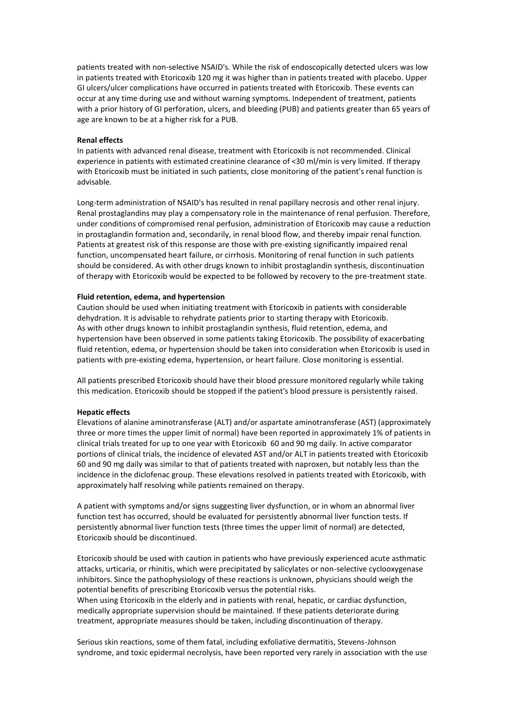patients treated with non-selective NSAID's. While the risk of endoscopically detected ulcers was low in patients treated with Etoricoxib 120 mg it was higher than in patients treated with placebo. Upper GI ulcers/ulcer complications have occurred in patients treated with Etoricoxib. These events can occur at any time during use and without warning symptoms. Independent of treatment, patients with a prior history of GI perforation, ulcers, and bleeding (PUB) and patients greater than 65 years of age are known to be at a higher risk for a PUB.

#### **Renal effects**

In patients with advanced renal disease, treatment with Etoricoxib is not recommended. Clinical experience in patients with estimated creatinine clearance of <30 ml/min is very limited. If therapy with Etoricoxib must be initiated in such patients, close monitoring of the patient's renal function is advisable.

Long-term administration of NSAID's has resulted in renal papillary necrosis and other renal injury. Renal prostaglandins may play a compensatory role in the maintenance of renal perfusion. Therefore, under conditions of compromised renal perfusion, administration of Etoricoxib may cause a reduction in prostaglandin formation and, secondarily, in renal blood flow, and thereby impair renal function. Patients at greatest risk of this response are those with pre-existing significantly impaired renal function, uncompensated heart failure, or cirrhosis. Monitoring of renal function in such patients should be considered. As with other drugs known to inhibit prostaglandin synthesis, discontinuation of therapy with Etoricoxib would be expected to be followed by recovery to the pre-treatment state.

#### **Fluid retention, edema, and hypertension**

Caution should be used when initiating treatment with Etoricoxib in patients with considerable dehydration. It is advisable to rehydrate patients prior to starting therapy with Etoricoxib. As with other drugs known to inhibit prostaglandin synthesis, fluid retention, edema, and hypertension have been observed in some patients taking Etoricoxib. The possibility of exacerbating fluid retention, edema, or hypertension should be taken into consideration when Etoricoxib is used in patients with pre-existing edema, hypertension, or heart failure. Close monitoring is essential.

All patients prescribed Etoricoxib should have their blood pressure monitored regularly while taking this medication. Etoricoxib should be stopped if the patient's blood pressure is persistently raised.

#### **Hepatic effects**

Elevations of alanine aminotransferase (ALT) and/or aspartate aminotransferase (AST) (approximately three or more times the upper limit of normal) have been reported in approximately 1% of patients in clinical trials treated for up to one year with Etoricoxib 60 and 90 mg daily. In active comparator portions of clinical trials, the incidence of elevated AST and/or ALT in patients treated with Etoricoxib 60 and 90 mg daily was similar to that of patients treated with naproxen, but notably less than the incidence in the diclofenac group. These elevations resolved in patients treated with Etoricoxib, with approximately half resolving while patients remained on therapy.

A patient with symptoms and/or signs suggesting liver dysfunction, or in whom an abnormal liver function test has occurred, should be evaluated for persistently abnormal liver function tests. If persistently abnormal liver function tests (three times the upper limit of normal) are detected, Etoricoxib should be discontinued.

Etoricoxib should be used with caution in patients who have previously experienced acute asthmatic attacks, urticaria, or rhinitis, which were precipitated by salicylates or non-selective cyclooxygenase inhibitors. Since the pathophysiology of these reactions is unknown, physicians should weigh the potential benefits of prescribing Etoricoxib versus the potential risks.

When using Etoricoxib in the elderly and in patients with renal, hepatic, or cardiac dysfunction, medically appropriate supervision should be maintained. If these patients deteriorate during treatment, appropriate measures should be taken, including discontinuation of therapy.

Serious skin reactions, some of them fatal, including exfoliative dermatitis, Stevens-Johnson syndrome, and toxic epidermal necrolysis, have been reported very rarely in association with the use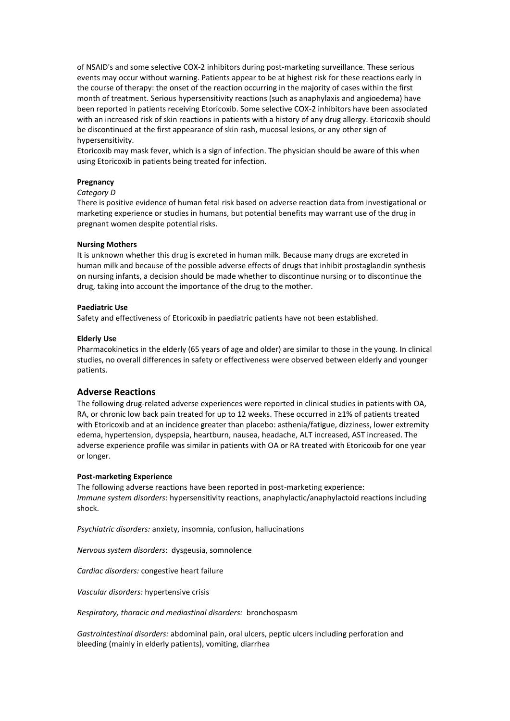of NSAID's and some selective COX-2 inhibitors during post-marketing surveillance. These serious events may occur without warning. Patients appear to be at highest risk for these reactions early in the course of therapy: the onset of the reaction occurring in the majority of cases within the first month of treatment. Serious hypersensitivity reactions (such as anaphylaxis and angioedema) have been reported in patients receiving Etoricoxib. Some selective COX-2 inhibitors have been associated with an increased risk of skin reactions in patients with a history of any drug allergy. Etoricoxib should be discontinued at the first appearance of skin rash, mucosal lesions, or any other sign of hypersensitivity.

Etoricoxib may mask fever, which is a sign of infection. The physician should be aware of this when using Etoricoxib in patients being treated for infection.

# **Pregnancy**

# *Category D*

There is positive evidence of human fetal risk based on adverse reaction data from investigational or marketing experience or studies in humans, but potential benefits may warrant use of the drug in pregnant women despite potential risks.

#### **Nursing Mothers**

It is unknown whether this drug is excreted in human milk. Because many drugs are excreted in human milk and because of the possible adverse effects of drugs that inhibit prostaglandin synthesis on nursing infants, a decision should be made whether to discontinue nursing or to discontinue the drug, taking into account the importance of the drug to the mother.

#### **Paediatric Use**

Safety and effectiveness of Etoricoxib in paediatric patients have not been established.

#### **Elderly Use**

Pharmacokinetics in the elderly (65 years of age and older) are similar to those in the young. In clinical studies, no overall differences in safety or effectiveness were observed between elderly and younger patients.

# **Adverse Reactions**

The following drug-related adverse experiences were reported in clinical studies in patients with OA, RA, or chronic low back pain treated for up to 12 weeks. These occurred in ≥1% of patients treated with Etoricoxib and at an incidence greater than placebo: asthenia/fatigue, dizziness, lower extremity edema, hypertension, dyspepsia, heartburn, nausea, headache, ALT increased, AST increased. The adverse experience profile was similar in patients with OA or RA treated with Etoricoxib for one year or longer.

# **Post-marketing Experience**

The following adverse reactions have been reported in post-marketing experience: *Immune system disorders*: hypersensitivity reactions, anaphylactic/anaphylactoid reactions including shock.

*Psychiatric disorders:* anxiety, insomnia, confusion, hallucinations

*Nervous system disorders*: dysgeusia, somnolence

*Cardiac disorders:* congestive heart failure

*Vascular disorders:* hypertensive crisis

*Respiratory, thoracic and mediastinal disorders:* bronchospasm

*Gastrointestinal disorders:* abdominal pain, oral ulcers, peptic ulcers including perforation and bleeding (mainly in elderly patients), vomiting, diarrhea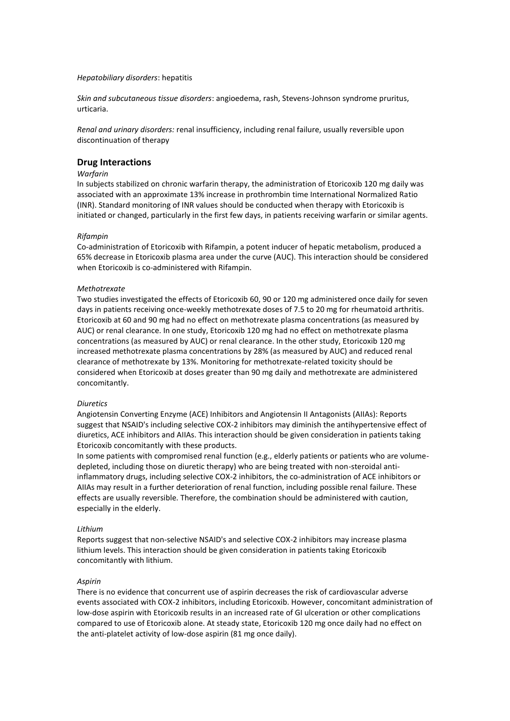### *Hepatobiliary disorders*: hepatitis

*Skin and subcutaneous tissue disorders*: angioedema, rash, Stevens-Johnson syndrome pruritus, urticaria.

*Renal and urinary disorders:* renal insufficiency, including renal failure, usually reversible upon discontinuation of therapy

# **Drug Interactions**

# *Warfarin*

In subjects stabilized on chronic warfarin therapy, the administration of Etoricoxib 120 mg daily was associated with an approximate 13% increase in prothrombin time International Normalized Ratio (INR). Standard monitoring of INR values should be conducted when therapy with Etoricoxib is initiated or changed, particularly in the first few days, in patients receiving warfarin or similar agents.

# *Rifampin*

Co-administration of Etoricoxib with Rifampin, a potent inducer of hepatic metabolism, produced a 65% decrease in Etoricoxib plasma area under the curve (AUC). This interaction should be considered when Etoricoxib is co-administered with Rifampin.

# *Methotrexate*

Two studies investigated the effects of Etoricoxib 60, 90 or 120 mg administered once daily for seven days in patients receiving once-weekly methotrexate doses of 7.5 to 20 mg for rheumatoid arthritis. Etoricoxib at 60 and 90 mg had no effect on methotrexate plasma concentrations (as measured by AUC) or renal clearance. In one study, Etoricoxib 120 mg had no effect on methotrexate plasma concentrations (as measured by AUC) or renal clearance. In the other study, Etoricoxib 120 mg increased methotrexate plasma concentrations by 28% (as measured by AUC) and reduced renal clearance of methotrexate by 13%. Monitoring for methotrexate-related toxicity should be considered when Etoricoxib at doses greater than 90 mg daily and methotrexate are administered concomitantly.

### *Diuretics*

Angiotensin Converting Enzyme (ACE) Inhibitors and Angiotensin II Antagonists (AIIAs): Reports suggest that NSAID's including selective COX-2 inhibitors may diminish the antihypertensive effect of diuretics, ACE inhibitors and AIIAs. This interaction should be given consideration in patients taking Etoricoxib concomitantly with these products.

In some patients with compromised renal function (e.g., elderly patients or patients who are volumedepleted, including those on diuretic therapy) who are being treated with non-steroidal antiinflammatory drugs, including selective COX-2 inhibitors, the co-administration of ACE inhibitors or AIIAs may result in a further deterioration of renal function, including possible renal failure. These effects are usually reversible. Therefore, the combination should be administered with caution, especially in the elderly.

# *Lithium*

Reports suggest that non-selective NSAID's and selective COX-2 inhibitors may increase plasma lithium levels. This interaction should be given consideration in patients taking Etoricoxib concomitantly with lithium.

### *Aspirin*

There is no evidence that concurrent use of aspirin decreases the risk of cardiovascular adverse events associated with COX-2 inhibitors, including Etoricoxib. However, concomitant administration of low-dose aspirin with Etoricoxib results in an increased rate of GI ulceration or other complications compared to use of Etoricoxib alone. At steady state, Etoricoxib 120 mg once daily had no effect on the anti-platelet activity of low-dose aspirin (81 mg once daily).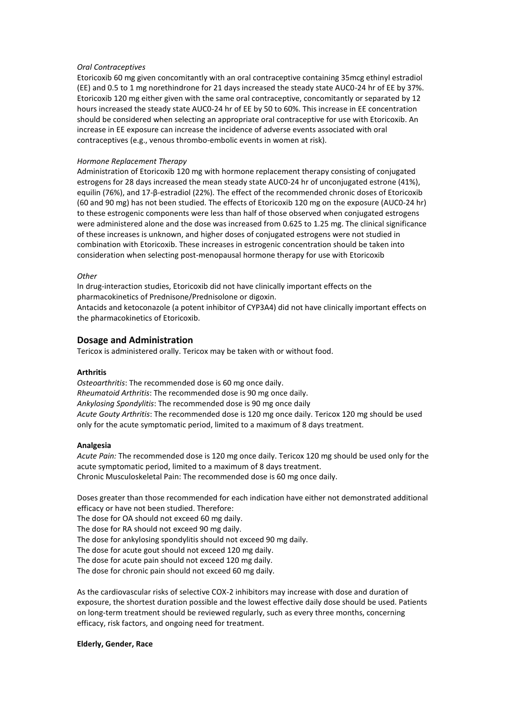### *Oral Contraceptives*

Etoricoxib 60 mg given concomitantly with an oral contraceptive containing 35mcg ethinyl estradiol (EE) and 0.5 to 1 mg norethindrone for 21 days increased the steady state AUC0-24 hr of EE by 37%. Etoricoxib 120 mg either given with the same oral contraceptive, concomitantly or separated by 12 hours increased the steady state AUC0-24 hr of EE by 50 to 60%. This increase in EE concentration should be considered when selecting an appropriate oral contraceptive for use with Etoricoxib. An increase in EE exposure can increase the incidence of adverse events associated with oral contraceptives (e.g., venous thrombo-embolic events in women at risk).

#### *Hormone Replacement Therapy*

Administration of Etoricoxib 120 mg with hormone replacement therapy consisting of conjugated estrogens for 28 days increased the mean steady state AUC0-24 hr of unconjugated estrone (41%), equilin (76%), and 17-β-estradiol (22%). The effect of the recommended chronic doses of Etoricoxib (60 and 90 mg) has not been studied. The effects of Etoricoxib 120 mg on the exposure (AUC0-24 hr) to these estrogenic components were less than half of those observed when conjugated estrogens were administered alone and the dose was increased from 0.625 to 1.25 mg. The clinical significance of these increases is unknown, and higher doses of conjugated estrogens were not studied in combination with Etoricoxib. These increases in estrogenic concentration should be taken into consideration when selecting post-menopausal hormone therapy for use with Etoricoxib

#### *Other*

In drug-interaction studies, Etoricoxib did not have clinically important effects on the pharmacokinetics of Prednisone/Prednisolone or digoxin. Antacids and ketoconazole (a potent inhibitor of CYP3A4) did not have clinically important effects on the pharmacokinetics of Etoricoxib.

# **Dosage and Administration**

Tericox is administered orally. Tericox may be taken with or without food.

### **Arthritis**

*Osteoarthritis*: The recommended dose is 60 mg once daily. *Rheumatoid Arthritis*: The recommended dose is 90 mg once daily. *Ankylosing Spondylitis*: The recommended dose is 90 mg once daily *Acute Gouty Arthritis*: The recommended dose is 120 mg once daily. Tericox 120 mg should be used only for the acute symptomatic period, limited to a maximum of 8 days treatment.

#### **Analgesia**

*Acute Pain:* The recommended dose is 120 mg once daily. Tericox 120 mg should be used only for the acute symptomatic period, limited to a maximum of 8 days treatment. Chronic Musculoskeletal Pain: The recommended dose is 60 mg once daily.

Doses greater than those recommended for each indication have either not demonstrated additional efficacy or have not been studied. Therefore:

The dose for OA should not exceed 60 mg daily.

The dose for RA should not exceed 90 mg daily.

The dose for ankylosing spondylitis should not exceed 90 mg daily.

The dose for acute gout should not exceed 120 mg daily.

The dose for acute pain should not exceed 120 mg daily.

The dose for chronic pain should not exceed 60 mg daily.

As the cardiovascular risks of selective COX-2 inhibitors may increase with dose and duration of exposure, the shortest duration possible and the lowest effective daily dose should be used. Patients on long-term treatment should be reviewed regularly, such as every three months, concerning efficacy, risk factors, and ongoing need for treatment.

### **Elderly, Gender, Race**